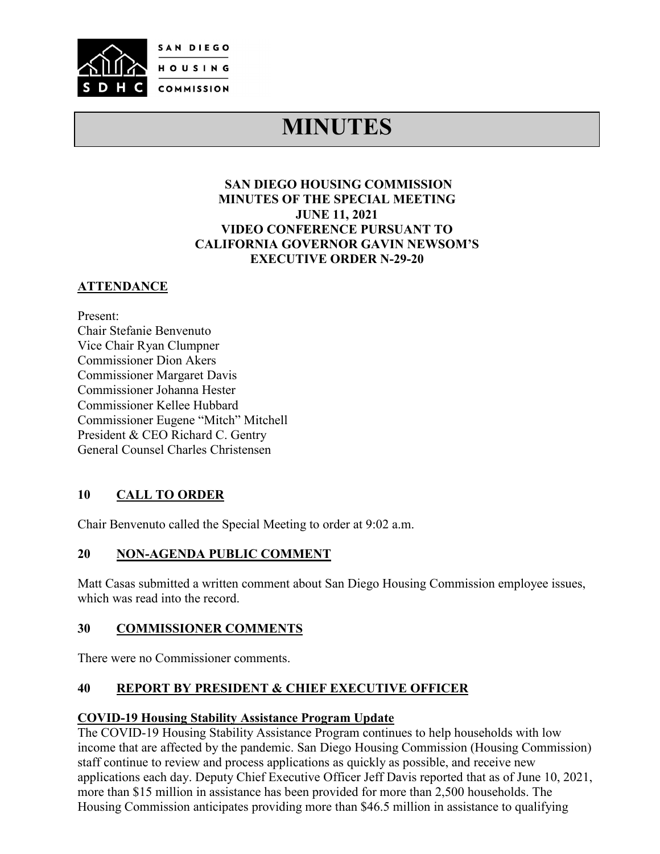

# **MINUTES**

## **SAN DIEGO HOUSING COMMISSION MINUTES OF THE SPECIAL MEETING JUNE 11, 2021 VIDEO CONFERENCE PURSUANT TO CALIFORNIA GOVERNOR GAVIN NEWSOM'S EXECUTIVE ORDER N-29-20**

# **ATTENDANCE**

Present: Chair Stefanie Benvenuto Vice Chair Ryan Clumpner Commissioner Dion Akers Commissioner Margaret Davis Commissioner Johanna Hester Commissioner Kellee Hubbard Commissioner Eugene "Mitch" Mitchell President & CEO Richard C. Gentry General Counsel Charles Christensen

## **10 CALL TO ORDER**

Chair Benvenuto called the Special Meeting to order at 9:02 a.m.

## **20 NON-AGENDA PUBLIC COMMENT**

Matt Casas submitted a written comment about San Diego Housing Commission employee issues, which was read into the record.

## **30 COMMISSIONER COMMENTS**

There were no Commissioner comments.

## **40 REPORT BY PRESIDENT & CHIEF EXECUTIVE OFFICER**

## **COVID-19 Housing Stability Assistance Program Update**

The COVID-19 Housing Stability Assistance Program continues to help households with low income that are affected by the pandemic. San Diego Housing Commission (Housing Commission) staff continue to review and process applications as quickly as possible, and receive new applications each day. Deputy Chief Executive Officer Jeff Davis reported that as of June 10, 2021, more than \$15 million in assistance has been provided for more than 2,500 households. The Housing Commission anticipates providing more than \$46.5 million in assistance to qualifying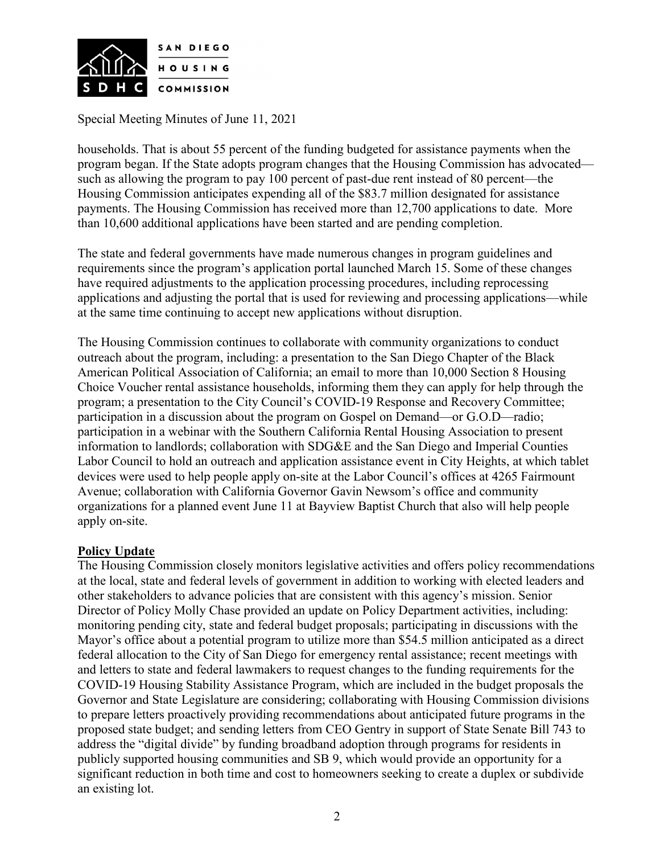

households. That is about 55 percent of the funding budgeted for assistance payments when the program began. If the State adopts program changes that the Housing Commission has advocated such as allowing the program to pay 100 percent of past-due rent instead of 80 percent—the Housing Commission anticipates expending all of the \$83.7 million designated for assistance payments. The Housing Commission has received more than 12,700 applications to date. More than 10,600 additional applications have been started and are pending completion.

The state and federal governments have made numerous changes in program guidelines and requirements since the program's application portal launched March 15. Some of these changes have required adjustments to the application processing procedures, including reprocessing applications and adjusting the portal that is used for reviewing and processing applications—while at the same time continuing to accept new applications without disruption.

The Housing Commission continues to collaborate with community organizations to conduct outreach about the program, including: a presentation to the San Diego Chapter of the Black American Political Association of California; an email to more than 10,000 Section 8 Housing Choice Voucher rental assistance households, informing them they can apply for help through the program; a presentation to the City Council's COVID-19 Response and Recovery Committee; participation in a discussion about the program on Gospel on Demand—or G.O.D—radio; participation in a webinar with the Southern California Rental Housing Association to present information to landlords; collaboration with SDG&E and the San Diego and Imperial Counties Labor Council to hold an outreach and application assistance event in City Heights, at which tablet devices were used to help people apply on-site at the Labor Council's offices at 4265 Fairmount Avenue; collaboration with California Governor Gavin Newsom's office and community organizations for a planned event June 11 at Bayview Baptist Church that also will help people apply on-site.

## **Policy Update**

The Housing Commission closely monitors legislative activities and offers policy recommendations at the local, state and federal levels of government in addition to working with elected leaders and other stakeholders to advance policies that are consistent with this agency's mission. Senior Director of Policy Molly Chase provided an update on Policy Department activities, including: monitoring pending city, state and federal budget proposals; participating in discussions with the Mayor's office about a potential program to utilize more than \$54.5 million anticipated as a direct federal allocation to the City of San Diego for emergency rental assistance; recent meetings with and letters to state and federal lawmakers to request changes to the funding requirements for the COVID-19 Housing Stability Assistance Program, which are included in the budget proposals the Governor and State Legislature are considering; collaborating with Housing Commission divisions to prepare letters proactively providing recommendations about anticipated future programs in the proposed state budget; and sending letters from CEO Gentry in support of State Senate Bill 743 to address the "digital divide" by funding broadband adoption through programs for residents in publicly supported housing communities and SB 9, which would provide an opportunity for a significant reduction in both time and cost to homeowners seeking to create a duplex or subdivide an existing lot.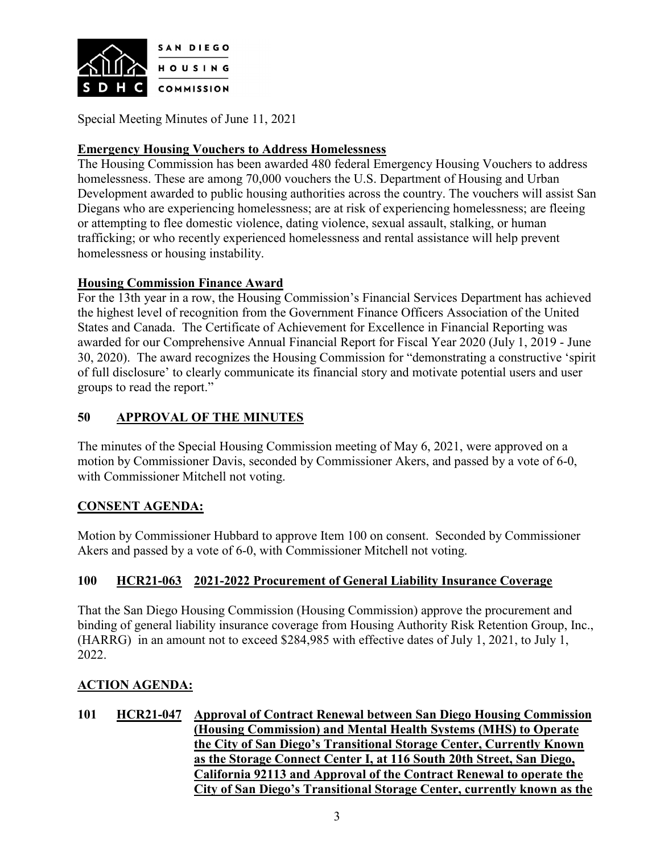

## **Emergency Housing Vouchers to Address Homelessness**

The Housing Commission has been awarded 480 federal Emergency Housing Vouchers to address homelessness. These are among 70,000 vouchers the U.S. Department of Housing and Urban Development awarded to public housing authorities across the country. The vouchers will assist San Diegans who are experiencing homelessness; are at risk of experiencing homelessness; are fleeing or attempting to flee domestic violence, dating violence, sexual assault, stalking, or human trafficking; or who recently experienced homelessness and rental assistance will help prevent homelessness or housing instability.

## **Housing Commission Finance Award**

For the 13th year in a row, the Housing Commission's Financial Services Department has achieved the highest level of recognition from the Government Finance Officers Association of the United States and Canada. The Certificate of Achievement for Excellence in Financial Reporting was awarded for our Comprehensive Annual Financial Report for Fiscal Year 2020 (July 1, 2019 - June 30, 2020). The award recognizes the Housing Commission for "demonstrating a constructive 'spirit of full disclosure' to clearly communicate its financial story and motivate potential users and user groups to read the report."

# **50 APPROVAL OF THE MINUTES**

The minutes of the Special Housing Commission meeting of May 6, 2021, were approved on a motion by Commissioner Davis, seconded by Commissioner Akers, and passed by a vote of 6-0, with Commissioner Mitchell not voting.

## **CONSENT AGENDA:**

Motion by Commissioner Hubbard to approve Item 100 on consent. Seconded by Commissioner Akers and passed by a vote of 6-0, with Commissioner Mitchell not voting.

## **100 HCR21-063 2021-2022 Procurement of General Liability Insurance Coverage**

That the San Diego Housing Commission (Housing Commission) approve the procurement and binding of general liability insurance coverage from Housing Authority Risk Retention Group, Inc., (HARRG) in an amount not to exceed \$284,985 with effective dates of July 1, 2021, to July 1, 2022.

## **ACTION AGENDA:**

**101 HCR21-047 Approval of Contract Renewal between San Diego Housing Commission (Housing Commission) and Mental Health Systems (MHS) to Operate the City of San Diego's Transitional Storage Center, Currently Known as the Storage Connect Center I, at 116 South 20th Street, San Diego, California 92113 and Approval of the Contract Renewal to operate the City of San Diego's Transitional Storage Center, currently known as the**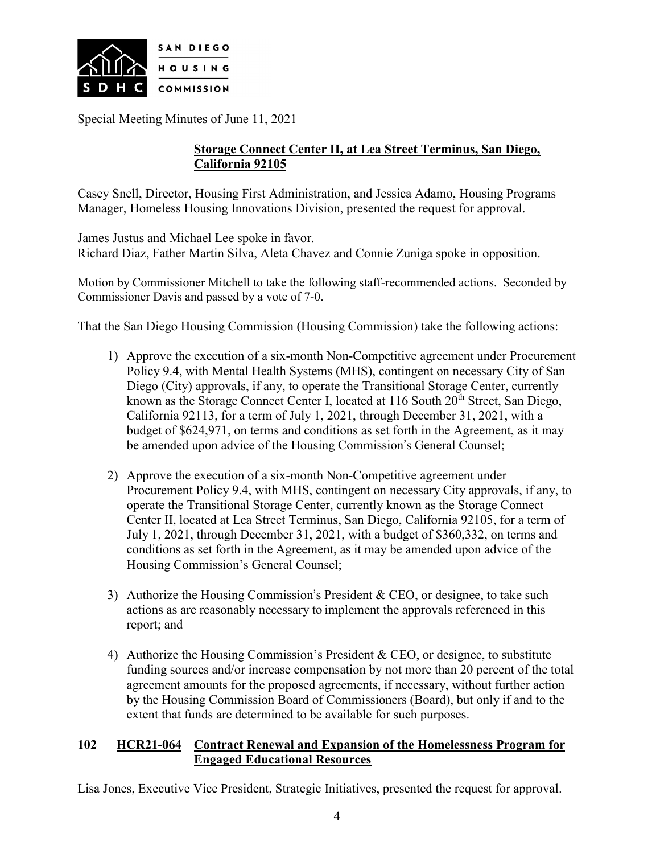

## **Storage Connect Center II, at Lea Street Terminus, San Diego, California 92105**

Casey Snell, Director, Housing First Administration, and Jessica Adamo, Housing Programs Manager, Homeless Housing Innovations Division, presented the request for approval.

James Justus and Michael Lee spoke in favor. Richard Diaz, Father Martin Silva, Aleta Chavez and Connie Zuniga spoke in opposition.

Motion by Commissioner Mitchell to take the following staff-recommended actions. Seconded by Commissioner Davis and passed by a vote of 7-0.

That the San Diego Housing Commission (Housing Commission) take the following actions:

- 1) Approve the execution of a six-month Non-Competitive agreement under Procurement Policy 9.4, with Mental Health Systems (MHS), contingent on necessary City of San Diego (City) approvals, if any, to operate the Transitional Storage Center, currently known as the Storage Connect Center I, located at  $116$  South  $20<sup>th</sup>$  Street, San Diego, California 92113, for a term of July 1, 2021, through December 31, 2021, with a budget of \$624,971, on terms and conditions as set forth in the Agreement, as it may be amended upon advice of the Housing Commission's General Counsel;
- 2) Approve the execution of a six-month Non-Competitive agreement under Procurement Policy 9.4, with MHS, contingent on necessary City approvals, if any, to operate the Transitional Storage Center, currently known as the Storage Connect Center II, located at Lea Street Terminus, San Diego, California 92105, for a term of July 1, 2021, through December 31, 2021, with a budget of \$360,332, on terms and conditions as set forth in the Agreement, as it may be amended upon advice of the Housing Commission's General Counsel;
- 3) Authorize the Housing Commission's President & CEO, or designee, to take such actions as are reasonably necessary to implement the approvals referenced in this report; and
- 4) Authorize the Housing Commission's President & CEO, or designee, to substitute funding sources and/or increase compensation by not more than 20 percent of the total agreement amounts for the proposed agreements, if necessary, without further action by the Housing Commission Board of Commissioners (Board), but only if and to the extent that funds are determined to be available for such purposes.

#### **102 HCR21-064 Contract Renewal and Expansion of the Homelessness Program for Engaged Educational Resources**

Lisa Jones, Executive Vice President, Strategic Initiatives, presented the request for approval.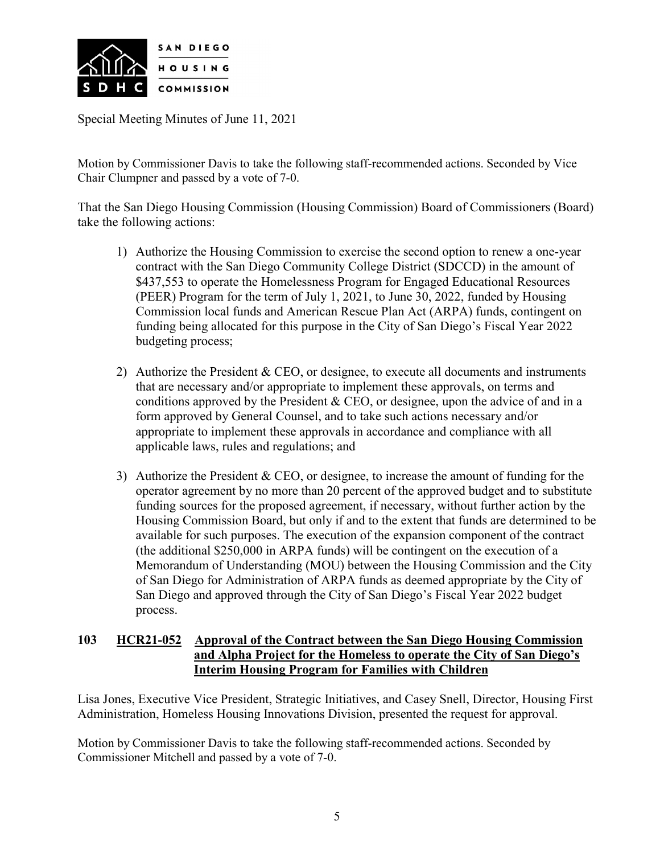

Motion by Commissioner Davis to take the following staff-recommended actions. Seconded by Vice Chair Clumpner and passed by a vote of 7-0.

That the San Diego Housing Commission (Housing Commission) Board of Commissioners (Board) take the following actions:

- 1) Authorize the Housing Commission to exercise the second option to renew a one-year contract with the San Diego Community College District (SDCCD) in the amount of \$437,553 to operate the Homelessness Program for Engaged Educational Resources (PEER) Program for the term of July 1, 2021, to June 30, 2022, funded by Housing Commission local funds and American Rescue Plan Act (ARPA) funds, contingent on funding being allocated for this purpose in the City of San Diego's Fiscal Year 2022 budgeting process;
- 2) Authorize the President & CEO, or designee, to execute all documents and instruments that are necessary and/or appropriate to implement these approvals, on terms and conditions approved by the President  $& CEO$ , or designee, upon the advice of and in a form approved by General Counsel, and to take such actions necessary and/or appropriate to implement these approvals in accordance and compliance with all applicable laws, rules and regulations; and
- 3) Authorize the President & CEO, or designee, to increase the amount of funding for the operator agreement by no more than 20 percent of the approved budget and to substitute funding sources for the proposed agreement, if necessary, without further action by the Housing Commission Board, but only if and to the extent that funds are determined to be available for such purposes. The execution of the expansion component of the contract (the additional \$250,000 in ARPA funds) will be contingent on the execution of a Memorandum of Understanding (MOU) between the Housing Commission and the City of San Diego for Administration of ARPA funds as deemed appropriate by the City of San Diego and approved through the City of San Diego's Fiscal Year 2022 budget process.

## **103 HCR21-052 Approval of the Contract between the San Diego Housing Commission and Alpha Project for the Homeless to operate the City of San Diego's Interim Housing Program for Families with Children**

Lisa Jones, Executive Vice President, Strategic Initiatives, and Casey Snell, Director, Housing First Administration, Homeless Housing Innovations Division, presented the request for approval.

Motion by Commissioner Davis to take the following staff-recommended actions. Seconded by Commissioner Mitchell and passed by a vote of 7-0.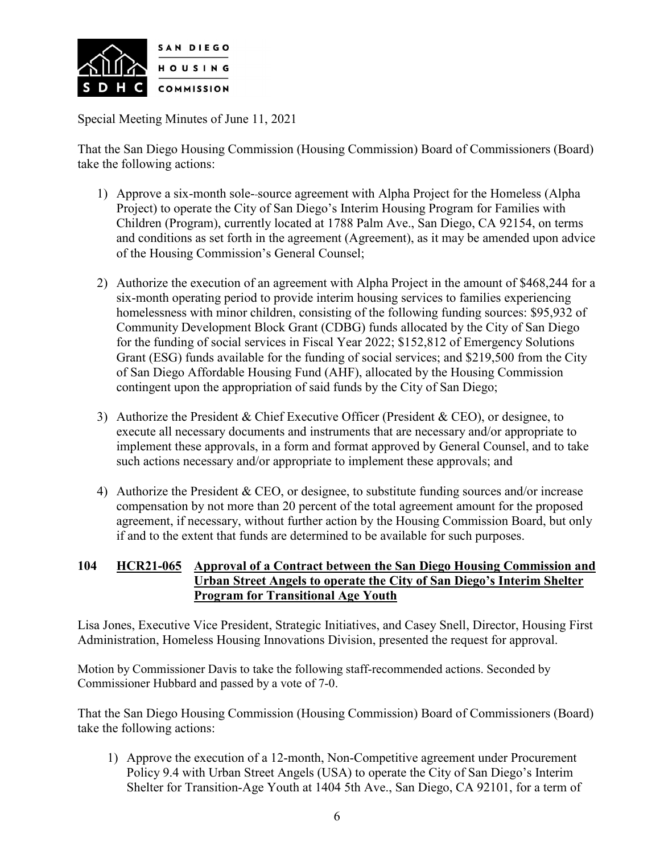

That the San Diego Housing Commission (Housing Commission) Board of Commissioners (Board) take the following actions:

- 1) Approve a six-month sole- source agreement with Alpha Project for the Homeless (Alpha Project) to operate the City of San Diego's Interim Housing Program for Families with Children (Program), currently located at 1788 Palm Ave., San Diego, CA 92154, on terms and conditions as set forth in the agreement (Agreement), as it may be amended upon advice of the Housing Commission's General Counsel;
- 2) Authorize the execution of an agreement with Alpha Project in the amount of \$468,244 for a six-month operating period to provide interim housing services to families experiencing homelessness with minor children, consisting of the following funding sources: \$95,932 of Community Development Block Grant (CDBG) funds allocated by the City of San Diego for the funding of social services in Fiscal Year 2022; \$152,812 of Emergency Solutions Grant (ESG) funds available for the funding of social services; and \$219,500 from the City of San Diego Affordable Housing Fund (AHF), allocated by the Housing Commission contingent upon the appropriation of said funds by the City of San Diego;
- 3) Authorize the President & Chief Executive Officer (President & CEO), or designee, to execute all necessary documents and instruments that are necessary and/or appropriate to implement these approvals, in a form and format approved by General Counsel, and to take such actions necessary and/or appropriate to implement these approvals; and
- 4) Authorize the President & CEO, or designee, to substitute funding sources and/or increase compensation by not more than 20 percent of the total agreement amount for the proposed agreement, if necessary, without further action by the Housing Commission Board, but only if and to the extent that funds are determined to be available for such purposes.

## **104 HCR21-065 Approval of a Contract between the San Diego Housing Commission and Urban Street Angels to operate the City of San Diego's Interim Shelter Program for Transitional Age Youth**

Lisa Jones, Executive Vice President, Strategic Initiatives, and Casey Snell, Director, Housing First Administration, Homeless Housing Innovations Division, presented the request for approval.

Motion by Commissioner Davis to take the following staff-recommended actions. Seconded by Commissioner Hubbard and passed by a vote of 7-0.

That the San Diego Housing Commission (Housing Commission) Board of Commissioners (Board) take the following actions:

1) Approve the execution of a 12-month, Non-Competitive agreement under Procurement Policy 9.4 with Urban Street Angels (USA) to operate the City of San Diego's Interim Shelter for Transition-Age Youth at 1404 5th Ave., San Diego, CA 92101, for a term of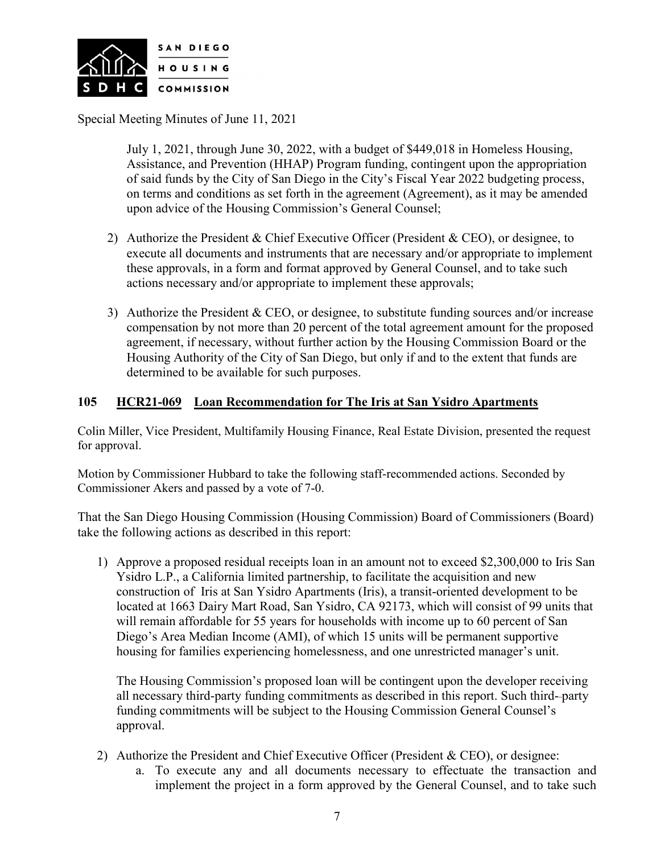

July 1, 2021, through June 30, 2022, with a budget of \$449,018 in Homeless Housing, Assistance, and Prevention (HHAP) Program funding, contingent upon the appropriation of said funds by the City of San Diego in the City's Fiscal Year 2022 budgeting process, on terms and conditions as set forth in the agreement (Agreement), as it may be amended upon advice of the Housing Commission's General Counsel;

- 2) Authorize the President & Chief Executive Officer (President & CEO), or designee, to execute all documents and instruments that are necessary and/or appropriate to implement these approvals, in a form and format approved by General Counsel, and to take such actions necessary and/or appropriate to implement these approvals;
- 3) Authorize the President & CEO, or designee, to substitute funding sources and/or increase compensation by not more than 20 percent of the total agreement amount for the proposed agreement, if necessary, without further action by the Housing Commission Board or the Housing Authority of the City of San Diego, but only if and to the extent that funds are determined to be available for such purposes.

#### **105 HCR21-069 Loan Recommendation for The Iris at San Ysidro Apartments**

Colin Miller, Vice President, Multifamily Housing Finance, Real Estate Division, presented the request for approval.

Motion by Commissioner Hubbard to take the following staff-recommended actions. Seconded by Commissioner Akers and passed by a vote of 7-0.

That the San Diego Housing Commission (Housing Commission) Board of Commissioners (Board) take the following actions as described in this report:

1) Approve a proposed residual receipts loan in an amount not to exceed \$2,300,000 to Iris San Ysidro L.P., a California limited partnership, to facilitate the acquisition and new construction of Iris at San Ysidro Apartments (Iris), a transit-oriented development to be located at 1663 Dairy Mart Road, San Ysidro, CA 92173, which will consist of 99 units that will remain affordable for 55 years for households with income up to 60 percent of San Diego's Area Median Income (AMI), of which 15 units will be permanent supportive housing for families experiencing homelessness, and one unrestricted manager's unit.

The Housing Commission's proposed loan will be contingent upon the developer receiving all necessary third-party funding commitments as described in this report. Such third- party funding commitments will be subject to the Housing Commission General Counsel's approval.

- 2) Authorize the President and Chief Executive Officer (President & CEO), or designee:
	- a. To execute any and all documents necessary to effectuate the transaction and implement the project in a form approved by the General Counsel, and to take such